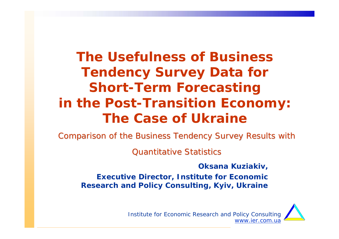**The Usefulness of Business Tendency Survey Data for Short-Term Forecasting in the Post-Transition Economy: The Case of Ukraine**

Comparison of the Business Tendency Survey Results with

**Quantitative Statistics** 

**Oksana Kuziakiv, Executive Director, Institute for Economic Research and Policy Consulting, Kyiv, Ukraine**

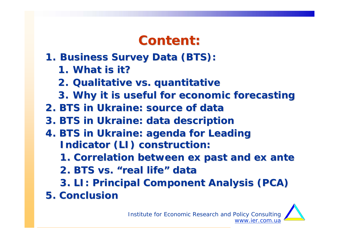## **Content: Content:**

- **1. Business Survey Data (BTS):** 
	- **1. What is it? What is it?**
	- **2. Qualitative vs. quantitative Qualitative vs. quantitative**
	- **3. Why it is useful for economic forecasting Why it is useful for economic forecasting**
- **2. BTS in Ukraine: source of data 2. BTS in Ukraine: source of data**
- **3. BTS in Ukraine: data description 3. BTS in Ukraine: data description**
- **4. BTS in Ukraine: agenda for Leading 4. BTS in Ukraine: agenda for Leading Indicator (LI) construction: Indicator (LI) construction:**
	- **1. Correlation between ex past and ex ante 1. Correlation between ex past and ex ante**
	- **2. BTS vs. 2. BTS vs. "real life real life" data**
	- **3. LI: Principal Component Analysis (PCA) 3. LI: Principal Component Analysis (PCA)**
- **5. Conclusion 5. Conclusion**

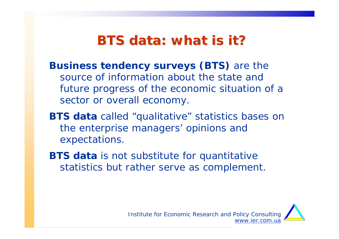## **BTS data: what is it? BTS data: what is it?**

- **Business tendency surveys (BTS)** are the source of information about the state and future progress of the economic situation of a sector or overall economy.
- **BTS data** called "qualitative" statistics bases on the enterprise managers' opinions and expectations.
- **BTS data** is not substitute for quantitative statistics but rather serve as complement.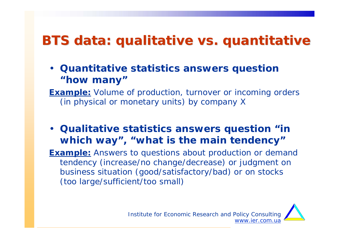## **BTS data: qualitative** *vs.* **quantitative**

• **Quantitative statistics answers question "how many"**

**Example:** *Volume of production, turnover or incoming orders (in physical or monetary units) by company* X

• **Qualitative statistics answers question "in which way", "what is the main tendency"**

**Example:** *Answers to questions about production or demand tendency (increase/no change/decrease) or judgment on business situation (good/satisfactory/bad) or on stocks (too large/sufficient/too small)*

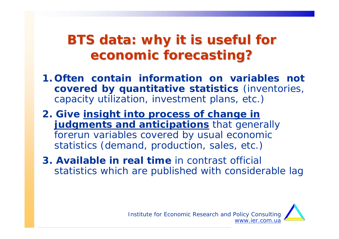## **BTS data: why it is useful for economic forecasting? economic forecasting?**

- **1. Often contain information on variables not covered by quantitative statistics** (inventories, capacity utilization, investment plans, etc.)
- **2. Give insight into process of change in judgments and anticipations** that generally forerun variables covered by usual economic statistics (demand, production, sales, etc.)
- **3. Available in real time** in contrast official statistics which are published with considerable lag

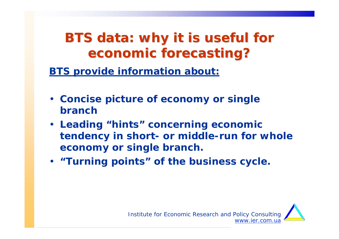## **BTS data: why it is useful for economic forecasting? economic forecasting?**

**BTS provide information about:**

- **Concise picture of economy or single branch**
- **Leading "hints" concerning economic tendency in short- or middle-run for whole economy or single branch.**
- **"Turning points" of the business cycle.**

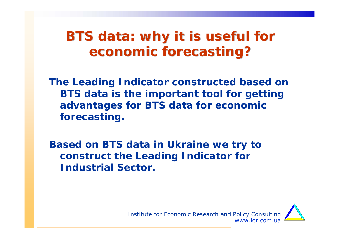## **BTS data: why it is useful for economic forecasting? economic forecasting?**

**The Leading Indicator constructed based on BTS data is the important tool for getting advantages for BTS data for economic forecasting.**

**Based on BTS data in Ukraine we try to construct the Leading Indicator for Industrial Sector.** 

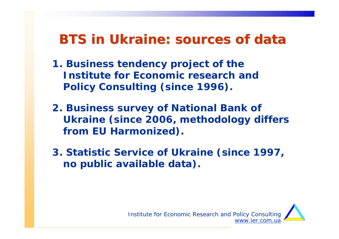## **BTS in Ukraine: sources of data BTS in Ukraine: sources of data**

- **1. Business tendency project of the Institute for Economic research and Policy Consulting (since 1996).**
- **2. Business survey of National Bank of Ukraine (since 2006, methodology differs from EU Harmonized).**
- **3. Statistic Service of Ukraine (since 1997, no public available data).**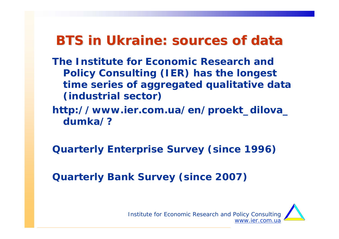## **BTS in Ukraine: sources of data BTS in Ukraine: sources of data**

- **The Institute for Economic Research and Policy Consulting (IER) has the longest time series of aggregated qualitative data (industrial sector)**
- **http://www.ier.com.ua/en/proekt\_dilova\_ dumka/?**

**Quarterly Enterprise Survey (since 1996)**

**Quarterly Bank Survey (since 2007)**

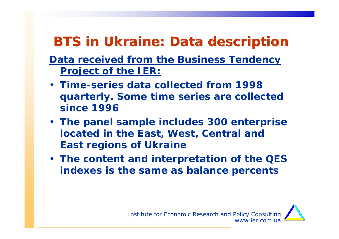# **BTS in Ukraine: Data description BTS in Ukraine: Data description**

### **Data received from the Business Tendency Project of the IER:**

- **Time-series data collected from 1998 quarterly. Some time series are collected since 1996**
- **The panel sample includes 300 enterprise located in the East, West, Central and East regions of Ukraine**
- **The content and interpretation of the QES indexes is the same as balance percents**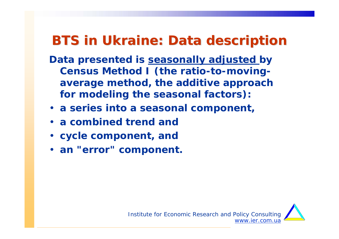## **BTS in Ukraine: Data description**

- **Data presented is seasonally adjusted by Census Method I (the ratio-to-movingaverage method, the additive approach for modeling the seasonal factors):**
- **a series into a seasonal component,**
- **a combined trend and**
- **cycle component, and**
- **an "error" component.**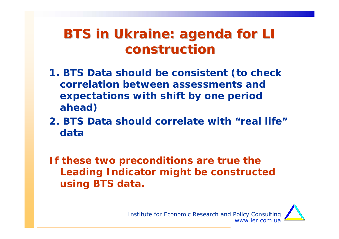## **BTS in Ukraine: agenda for LI construction construction**

- **1. BTS Data should be consistent (to check correlation between assessments and expectations with shift by one period ahead)**
- **2. BTS Data should correlate with "real life"data**

**If these two preconditions are true the Leading Indicator might be constructed using BTS data.** 

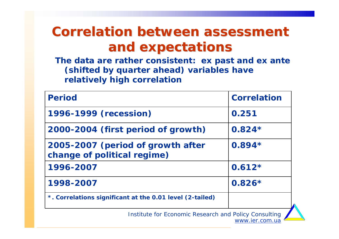## **Correlation between assessment and expectations and expectations**

**The data are rather consistent***: ex past* **and** *ex ante*  **(shifted by quarter ahead) variables have relatively high correlation**

| <b>Period</b>                                                    | <b>Correlation</b> |
|------------------------------------------------------------------|--------------------|
| 1996-1999 (recession)                                            | 0.251              |
| 2000-2004 (first period of growth)                               | $0.824*$           |
| 2005-2007 (period of growth after<br>change of political regime) | $0.894*$           |
| 1996-2007                                                        | $0.612*$           |
| 1998-2007                                                        | $0.826*$           |
| *. Correlations significant at the 0.01 level (2-tailed)         |                    |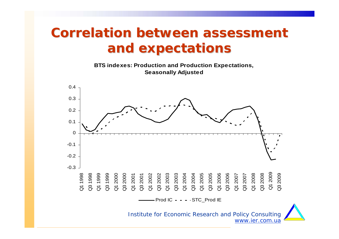## **Correlation between assessment and expectations and expectations**

**BTS indexes: Production and Production Expectations, Seasonally Adjusted**

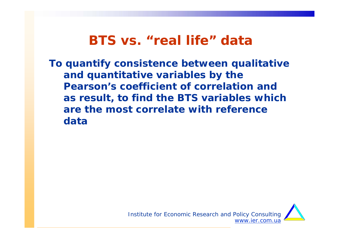**To quantify consistence between qualitative and quantitative variables by the Pearson's coefficient of correlation and as result, to find the BTS variables which are the most correlate with reference data**

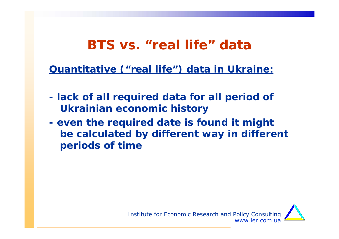**Quantitative ("real life") data in Ukraine:**

- **lack of all required data for all period of Ukrainian economic history**
- **even the required date is found it might be calculated by different way in different periods of time**

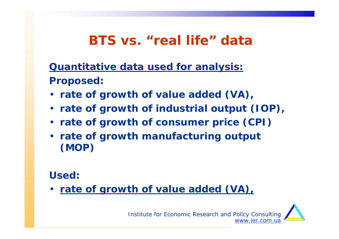**Quantitative data used for analysis: Proposed:**

- **rate of growth of value added (VA),**
- **rate of growth of industrial output (IOP),**
- **rate of growth of consumer price (CPI)**
- **rate of growth manufacturing output (MOP)**

**Used:**

• **rate of growth of value added (VA),**

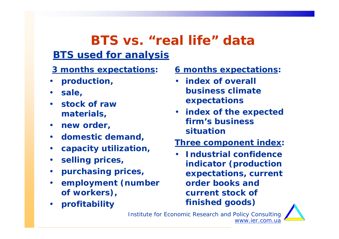### **BTS vs. "real life" dataBTS used for analysis**

- **3 months expectations:**
- **production,**
- **sale,**
- **stock of raw materials,**
- **new order,**
- **domestic demand,**
- **capacity utilization,**
- **selling prices,**
- **purchasing prices,**
- • **employment (number of workers),**
- **profitability**

**6 months expectations:**

- **index of overall business climate expectations**
- **index of the expected firm's business situation**
- **Three component index:**
- **Industrial confidence indicator** *(production expectations, current order books and current stock of finished goods)*

www.ier.com.ua

Institute for Economic Research and Policy Consulting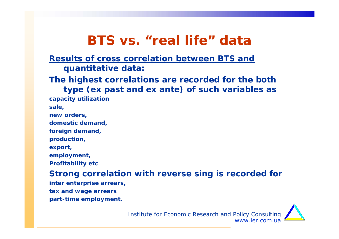#### **Results of cross correlation between BTS and quantitative data:**

**The highest correlations are recorded for the both type (ex past and ex ante) of such variables as capacity utilization** 

**sale,** 

**new orders,** 

**domestic demand,** 

**foreign demand,** 

**production,** 

**export,** 

**employment,** 

**Profitability etc**

#### **Strong correlation with reverse sing is recorded for**

**inter enterprise arrears, tax and wage arrears part-time employment.**

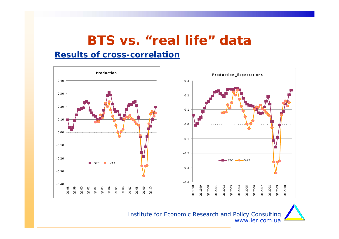#### **Results of cross-correlation**

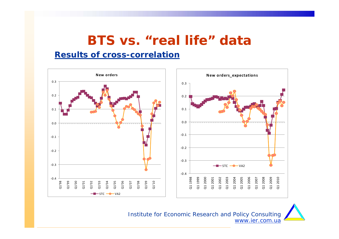#### **Results of cross-correlation**

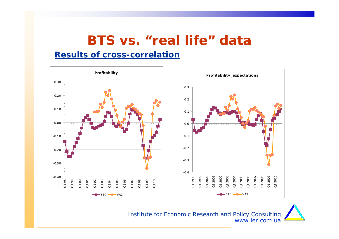#### **Results of cross-correlation**

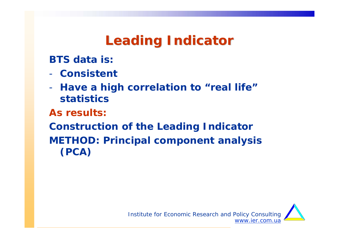# **Leading Indicator Leading Indicator**

**BTS data is:**

- **Consistent**
- - **Have a high correlation to "real life" statistics**

**As results:**

**Construction of the Leading Indicator METHOD: Principal component analysis (PCA)**

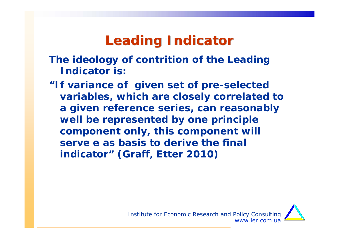## **Leading Indicator Leading Indicator**

- **The ideology of contrition of the Leading Indicator is:**
- *"If variance of given set of pre-selected variables, which are closely correlated to a given reference series, can reasonably well be represented by one principle component only, this component will serve e as basis to derive the final indicator"* **(Graff, Etter 2010)**

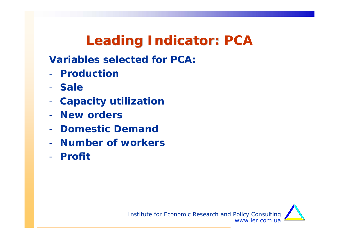## **Leading Indicator: PCA**

**Variables selected for PCA:**

- **Production**
- **Sale**
- -**Capacity utilization**
- **New orders**
- **Domestic Demand**
- **Number of workers**
- **Profit**

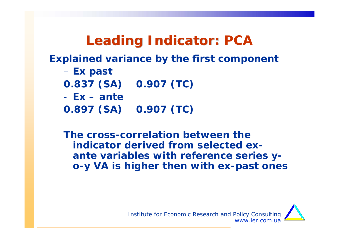## **Leading Indicator: PCA Leading Indicator:**

**Explained variance by the first component**

- **Ex past**
- **0.837 (SA) 0.907 (TC)**
- **Ex – ante**
- **0.897 (SA) 0.907 (TC)**

**The cross-correlation between the indicator derived from selected** *exante* **variables with reference series yo-y VA is higher then with** *ex-past* **ones**

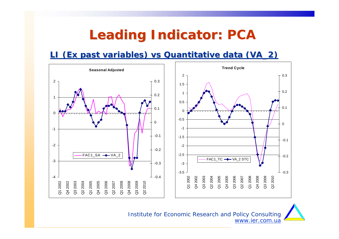## **Leading Indicator: PCA**

#### **LI (***Ex past variables***) vs Quantitative data (VA\_2)**

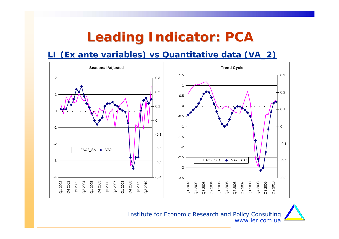## **Leading Indicator: PCA Leading Indicator:**

**LI (***Ex ante* **variables) vs Quantitative data (VA\_2)**

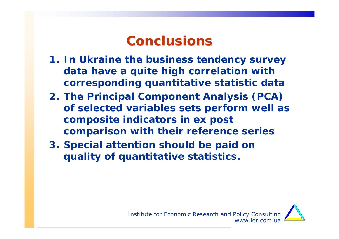## **Conclusions Conclusions**

- **1. In Ukraine the business tendency survey data have a quite high correlation with corresponding quantitative statistic data**
- **2. The Principal Component Analysis (PCA) of selected variables sets perform well as composite indicators in ex post comparison with their reference series**
- **3. Special attention should be paid on quality of quantitative statistics.**